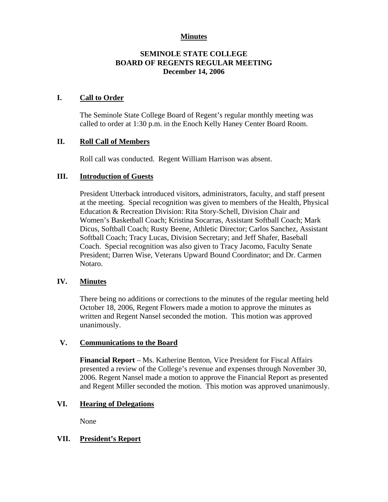# **Minutes**

# **SEMINOLE STATE COLLEGE BOARD OF REGENTS REGULAR MEETING December 14, 2006**

## **I. Call to Order**

The Seminole State College Board of Regent's regular monthly meeting was called to order at 1:30 p.m. in the Enoch Kelly Haney Center Board Room.

# **II. Roll Call of Members**

Roll call was conducted. Regent William Harrison was absent.

### **III. Introduction of Guests**

President Utterback introduced visitors, administrators, faculty, and staff present at the meeting. Special recognition was given to members of the Health, Physical Education & Recreation Division: Rita Story-Schell, Division Chair and Women's Basketball Coach; Kristina Socarras, Assistant Softball Coach; Mark Dicus, Softball Coach; Rusty Beene, Athletic Director; Carlos Sanchez, Assistant Softball Coach; Tracy Lucas, Division Secretary; and Jeff Shafer, Baseball Coach. Special recognition was also given to Tracy Jacomo, Faculty Senate President; Darren Wise, Veterans Upward Bound Coordinator; and Dr. Carmen Notaro.

# **IV. Minutes**

There being no additions or corrections to the minutes of the regular meeting held October 18, 2006, Regent Flowers made a motion to approve the minutes as written and Regent Nansel seconded the motion. This motion was approved unanimously.

### **V. Communications to the Board**

**Financial Report** – Ms. Katherine Benton, Vice President for Fiscal Affairs presented a review of the College's revenue and expenses through November 30, 2006. Regent Nansel made a motion to approve the Financial Report as presented and Regent Miller seconded the motion. This motion was approved unanimously.

### **VI. Hearing of Delegations**

None

### **VII. President's Report**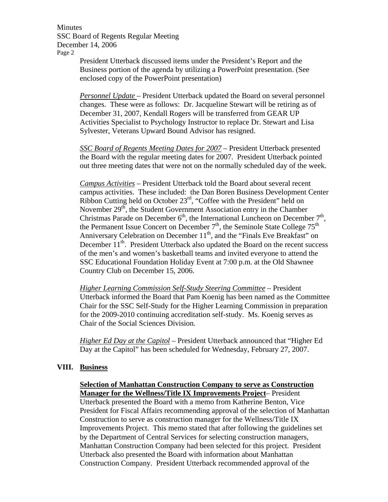President Utterback discussed items under the President's Report and the Business portion of the agenda by utilizing a PowerPoint presentation. (See enclosed copy of the PowerPoint presentation)

*Personnel Update* – President Utterback updated the Board on several personnel changes. These were as follows: Dr. Jacqueline Stewart will be retiring as of December 31, 2007, Kendall Rogers will be transferred from GEAR UP Activities Specialist to Psychology Instructor to replace Dr. Stewart and Lisa Sylvester, Veterans Upward Bound Advisor has resigned.

*SSC Board of Regents Meeting Dates for 2007* – President Utterback presented the Board with the regular meeting dates for 2007. President Utterback pointed out three meeting dates that were not on the normally scheduled day of the week.

*Campus Activities* – President Utterback told the Board about several recent campus activities. These included: the Dan Boren Business Development Center Ribbon Cutting held on October 23<sup>rd</sup>, "Coffee with the President" held on November  $29<sup>th</sup>$ , the Student Government Association entry in the Chamber Christmas Parade on December  $6<sup>th</sup>$ , the International Luncheon on December  $7<sup>th</sup>$ , the Permanent Issue Concert on December  $7<sup>th</sup>$ , the Seminole State College  $75<sup>th</sup>$ Anniversary Celebration on December  $11<sup>th</sup>$ , and the "Finals Eve Breakfast" on December  $11<sup>th</sup>$ . President Utterback also updated the Board on the recent success of the men's and women's basketball teams and invited everyone to attend the SSC Educational Foundation Holiday Event at 7:00 p.m. at the Old Shawnee Country Club on December 15, 2006.

*Higher Learning Commission Self*-*Study Steering Committee* – President Utterback informed the Board that Pam Koenig has been named as the Committee Chair for the SSC Self-Study for the Higher Learning Commission in preparation for the 2009-2010 continuing accreditation self-study. Ms. Koenig serves as Chair of the Social Sciences Division.

*Higher Ed Day at the Capitol* – President Utterback announced that "Higher Ed Day at the Capitol" has been scheduled for Wednesday, February 27, 2007.

### **VIII. Business**

#### **Selection of Manhattan Construction Company to serve as Construction Manager for the Wellness/Title IX Improvements Project**– President

Utterback presented the Board with a memo from Katherine Benton, Vice President for Fiscal Affairs recommending approval of the selection of Manhattan Construction to serve as construction manager for the Wellness/Title IX Improvements Project. This memo stated that after following the guidelines set by the Department of Central Services for selecting construction managers, Manhattan Construction Company had been selected for this project. President Utterback also presented the Board with information about Manhattan Construction Company. President Utterback recommended approval of the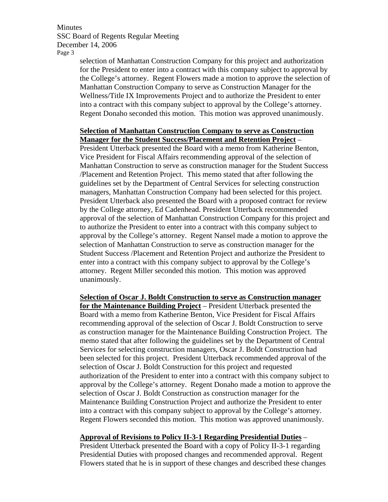selection of Manhattan Construction Company for this project and authorization for the President to enter into a contract with this company subject to approval by the College's attorney. Regent Flowers made a motion to approve the selection of Manhattan Construction Company to serve as Construction Manager for the Wellness/Title IX Improvements Project and to authorize the President to enter into a contract with this company subject to approval by the College's attorney. Regent Donaho seconded this motion. This motion was approved unanimously.

#### **Selection of Manhattan Construction Company to serve as Construction Manager for the Student Success/Placement and Retention Project** –

President Utterback presented the Board with a memo from Katherine Benton, Vice President for Fiscal Affairs recommending approval of the selection of Manhattan Construction to serve as construction manager for the Student Success /Placement and Retention Project. This memo stated that after following the guidelines set by the Department of Central Services for selecting construction managers, Manhattan Construction Company had been selected for this project. President Utterback also presented the Board with a proposed contract for review by the College attorney, Ed Cadenhead. President Utterback recommended approval of the selection of Manhattan Construction Company for this project and to authorize the President to enter into a contract with this company subject to approval by the College's attorney. Regent Nansel made a motion to approve the selection of Manhattan Construction to serve as construction manager for the Student Success /Placement and Retention Project and authorize the President to enter into a contract with this company subject to approval by the College's attorney. Regent Miller seconded this motion. This motion was approved unanimously.

**Selection of Oscar J. Boldt Construction to serve as Construction manager for the Maintenance Building Project** – President Utterback presented the Board with a memo from Katherine Benton, Vice President for Fiscal Affairs recommending approval of the selection of Oscar J. Boldt Construction to serve as construction manager for the Maintenance Building Construction Project. The memo stated that after following the guidelines set by the Department of Central Services for selecting construction managers, Oscar J. Boldt Construction had been selected for this project. President Utterback recommended approval of the selection of Oscar J. Boldt Construction for this project and requested authorization of the President to enter into a contract with this company subject to approval by the College's attorney. Regent Donaho made a motion to approve the selection of Oscar J. Boldt Construction as construction manager for the Maintenance Building Construction Project and authorize the President to enter into a contract with this company subject to approval by the College's attorney. Regent Flowers seconded this motion. This motion was approved unanimously.

### **Approval of Revisions to Policy II-3-1 Regarding Presidential Duties** –

President Utterback presented the Board with a copy of Policy II-3-1 regarding Presidential Duties with proposed changes and recommended approval. Regent Flowers stated that he is in support of these changes and described these changes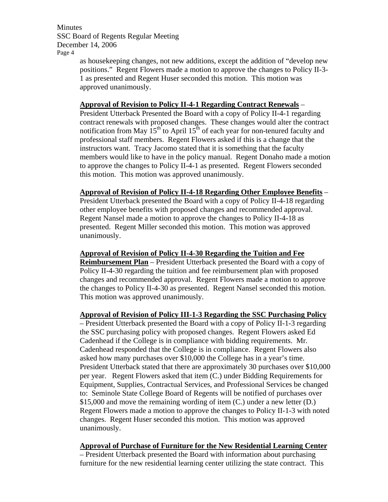> as housekeeping changes, not new additions, except the addition of "develop new positions." Regent Flowers made a motion to approve the changes to Policy II-3- 1 as presented and Regent Huser seconded this motion. This motion was approved unanimously.

## **Approval of Revision to Policy II-4-1 Regarding Contract Renewals** –

President Utterback Presented the Board with a copy of Policy II-4-1 regarding contract renewals with proposed changes. These changes would alter the contract notification from May  $15^{th}$  to April  $15^{th}$  of each year for non-tenured faculty and professional staff members. Regent Flowers asked if this is a change that the instructors want. Tracy Jacomo stated that it is something that the faculty members would like to have in the policy manual. Regent Donaho made a motion to approve the changes to Policy II-4-1 as presented. Regent Flowers seconded this motion. This motion was approved unanimously.

### **Approval of Revision of Policy II-4-18 Regarding Other Employee Benefits** –

President Utterback presented the Board with a copy of Policy II-4-18 regarding other employee benefits with proposed changes and recommended approval. Regent Nansel made a motion to approve the changes to Policy II-4-18 as presented. Regent Miller seconded this motion. This motion was approved unanimously.

**Approval of Revision of Policy II-4-30 Regarding the Tuition and Fee Reimbursement Plan** – President Utterback presented the Board with a copy of Policy II-4-30 regarding the tuition and fee reimbursement plan with proposed changes and recommended approval. Regent Flowers made a motion to approve the changes to Policy II-4-30 as presented. Regent Nansel seconded this motion. This motion was approved unanimously.

#### **Approval of Revision of Policy III-1-3 Regarding the SSC Purchasing Policy**

– President Utterback presented the Board with a copy of Policy II-1-3 regarding the SSC purchasing policy with proposed changes. Regent Flowers asked Ed Cadenhead if the College is in compliance with bidding requirements. Mr. Cadenhead responded that the College is in compliance. Regent Flowers also asked how many purchases over \$10,000 the College has in a year's time. President Utterback stated that there are approximately 30 purchases over \$10,000 per year. Regent Flowers asked that item (C.) under Bidding Requirements for Equipment, Supplies, Contractual Services, and Professional Services be changed to: Seminole State College Board of Regents will be notified of purchases over \$15,000 and move the remaining wording of item (C.) under a new letter (D.) Regent Flowers made a motion to approve the changes to Policy II-1-3 with noted changes. Regent Huser seconded this motion. This motion was approved unanimously.

**Approval of Purchase of Furniture for the New Residential Learning Center**

– President Utterback presented the Board with information about purchasing furniture for the new residential learning center utilizing the state contract. This